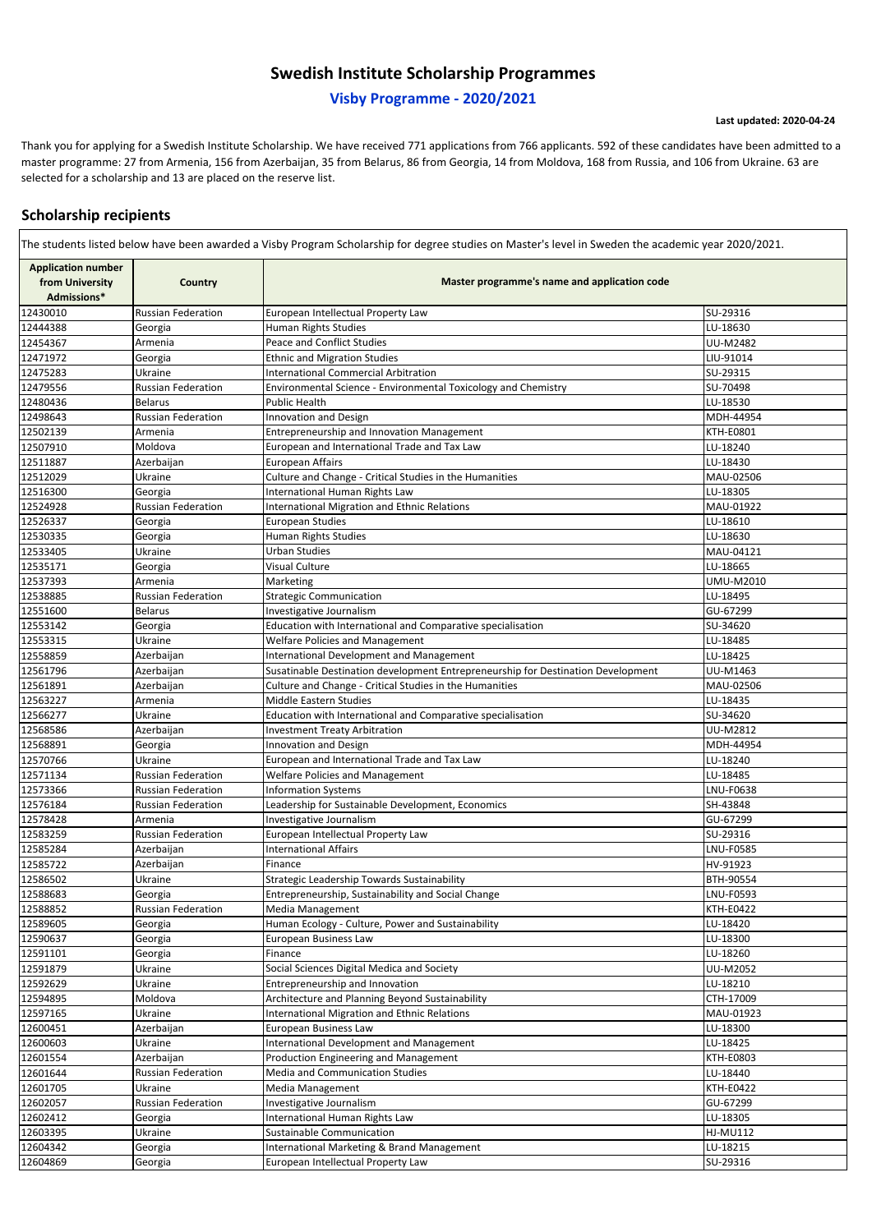**Last updated: 2020-04-24**

| <b>Application number</b>      |                                      |                                                                                  |                      |  |
|--------------------------------|--------------------------------------|----------------------------------------------------------------------------------|----------------------|--|
| from University<br>Admissions* | <b>Country</b>                       | Master programme's name and application code                                     |                      |  |
| 12430010                       | <b>Russian Federation</b>            | European Intellectual Property Law                                               | SU-29316             |  |
| 12444388                       | Georgia                              | Human Rights Studies                                                             | LU-18630             |  |
| 12454367                       | Armenia                              | Peace and Conflict Studies                                                       | <b>UU-M2482</b>      |  |
| 12471972                       | Georgia                              | <b>Ethnic and Migration Studies</b>                                              | LIU-91014            |  |
| 12475283                       | Ukraine                              | <b>International Commercial Arbitration</b>                                      | SU-29315             |  |
| 12479556                       | <b>Russian Federation</b>            | Environmental Science - Environmental Toxicology and Chemistry                   | SU-70498             |  |
| 12480436                       | Belarus                              | Public Health                                                                    | LU-18530             |  |
| 12498643                       | <b>Russian Federation</b>            | <b>Innovation and Design</b>                                                     | MDH-44954            |  |
| 12502139                       | Armenia                              | Entrepreneurship and Innovation Management                                       | <b>KTH-E0801</b>     |  |
| 12507910                       | Moldova                              | European and International Trade and Tax Law                                     | LU-18240             |  |
| 12511887                       | Azerbaijan                           | European Affairs                                                                 | LU-18430             |  |
| 12512029                       | Ukraine                              | Culture and Change - Critical Studies in the Humanities                          | MAU-02506            |  |
| 12516300                       | Georgia                              | International Human Rights Law                                                   | LU-18305             |  |
| 12524928                       | <b>Russian Federation</b>            | <b>International Migration and Ethnic Relations</b>                              | MAU-01922            |  |
| 12526337                       | Georgia                              | <b>European Studies</b>                                                          | LU-18610             |  |
| 12530335                       | Georgia                              | <b>Human Rights Studies</b>                                                      | LU-18630             |  |
| 12533405                       | Ukraine                              | <b>Urban Studies</b>                                                             | MAU-04121            |  |
| 12535171                       | Georgia                              | <b>Visual Culture</b>                                                            | LU-18665             |  |
| 12537393                       | Armenia                              | Marketing                                                                        | <b>UMU-M2010</b>     |  |
| 12538885                       | <b>Russian Federation</b>            | <b>Strategic Communication</b>                                                   | LU-18495             |  |
| 12551600                       | <b>Belarus</b>                       | Investigative Journalism                                                         | GU-67299             |  |
| 12553142                       | Georgia                              | Education with International and Comparative specialisation                      | SU-34620             |  |
| 12553315                       | Ukraine                              | <b>Welfare Policies and Management</b>                                           | LU-18485             |  |
| 12558859                       | Azerbaijan                           | International Development and Management                                         | LU-18425             |  |
| 12561796                       | Azerbaijan                           | Susatinable Destination development Entrepreneurship for Destination Development | UU-M1463             |  |
| 12561891                       | Azerbaijan                           | Culture and Change - Critical Studies in the Humanities                          | MAU-02506            |  |
| 12563227                       | Armenia                              | Middle Eastern Studies                                                           | LU-18435             |  |
| 12566277                       | Ukraine                              | Education with International and Comparative specialisation                      | SU-34620             |  |
| 12568586                       | Azerbaijan                           | Investment Treaty Arbitration                                                    | UU-M2812             |  |
| 12568891                       | Georgia                              | <b>Innovation and Design</b>                                                     | MDH-44954            |  |
| 12570766                       | Jkraine<br><b>Russian Federation</b> | European and International Trade and Tax Law                                     | LU-18240<br>LU-18485 |  |
| 12571134<br>12573366           | <b>Russian Federation</b>            | <b>Welfare Policies and Management</b><br><b>Information Systems</b>             | LNU-F0638            |  |
| 12576184                       | <b>Russian Federation</b>            | Leadership for Sustainable Development, Economics                                | SH-43848             |  |
| 12578428                       | Armenia                              | Investigative Journalism                                                         | GU-67299             |  |
| 12583259                       | <b>Russian Federation</b>            | European Intellectual Property Law                                               | SU-29316             |  |
| 12585284                       | Azerbaijan                           | <b>International Affairs</b>                                                     | <b>LNU-F0585</b>     |  |
| 12585722                       | Azerbaijan                           | Finance                                                                          | HV-91923             |  |
| 12586502                       | Ukraine                              | Strategic Leadership Towards Sustainability                                      | <b>BTH-90554</b>     |  |
| 12588683                       | Georgia                              | Entrepreneurship, Sustainability and Social Change                               | LNU-F0593            |  |
| 12588852                       | <b>Russian Federation</b>            | Media Management                                                                 | <b>KTH-E0422</b>     |  |
| 12589605                       | Georgia                              | Human Ecology - Culture, Power and Sustainability                                | LU-18420             |  |
| 12590637                       | Georgia                              | European Business Law                                                            | LU-18300             |  |
| 12591101                       | Georgia                              | Finance                                                                          | LU-18260             |  |
| 12591879                       | Jkraine                              | Social Sciences Digital Medica and Society                                       | UU-M2052             |  |
| 12592629                       | Jkraine                              | Entrepreneurship and Innovation                                                  | LU-18210             |  |
| 12594895                       | Moldova                              | Architecture and Planning Beyond Sustainability                                  | CTH-17009            |  |
| 12597165                       | Ukraine                              | <b>International Migration and Ethnic Relations</b>                              | MAU-01923            |  |
| 12600451                       | Azerbaijan                           | European Business Law                                                            | LU-18300             |  |
| 12600603                       | Jkraine                              | <b>International Development and Management</b>                                  | LU-18425             |  |
| 12601554                       | Azerbaijan                           | Production Engineering and Management                                            | <b>KTH-E0803</b>     |  |
| 12601644                       | <b>Russian Federation</b>            | <b>Media and Communication Studies</b>                                           | LU-18440             |  |
| 12601705                       | Ukraine                              | Media Management                                                                 | <b>KTH-E0422</b>     |  |
| 12602057                       | <b>Russian Federation</b>            | Investigative Journalism                                                         | GU-67299             |  |
| 12602412                       | Georgia                              | International Human Rights Law                                                   | LU-18305             |  |
| 12603395                       | Jkraine                              | Sustainable Communication                                                        | <b>HJ-MU112</b>      |  |
| 12604342                       | Georgia                              | International Marketing & Brand Management                                       | LU-18215             |  |
| 12604869                       | Georgia                              | European Intellectual Property Law                                               | SU-29316             |  |

### **Visby Programme - 2020/2021**

# **Swedish Institute Scholarship Programmes**

The students listed below have been awarded a Visby Program Scholarship for degree studies on Master's level in Sweden the academic year 2020/2021.

Thank you for applying for a Swedish Institute Scholarship. We have received 771 applications from 766 applicants. 592 of these candidates have been admitted to a master programme: 27 from Armenia, 156 from Azerbaijan, 35 from Belarus, 86 from Georgia, 14 from Moldova, 168 from Russia, and 106 from Ukraine. 63 are selected for a scholarship and 13 are placed on the reserve list.

## **Scholarship recipients**